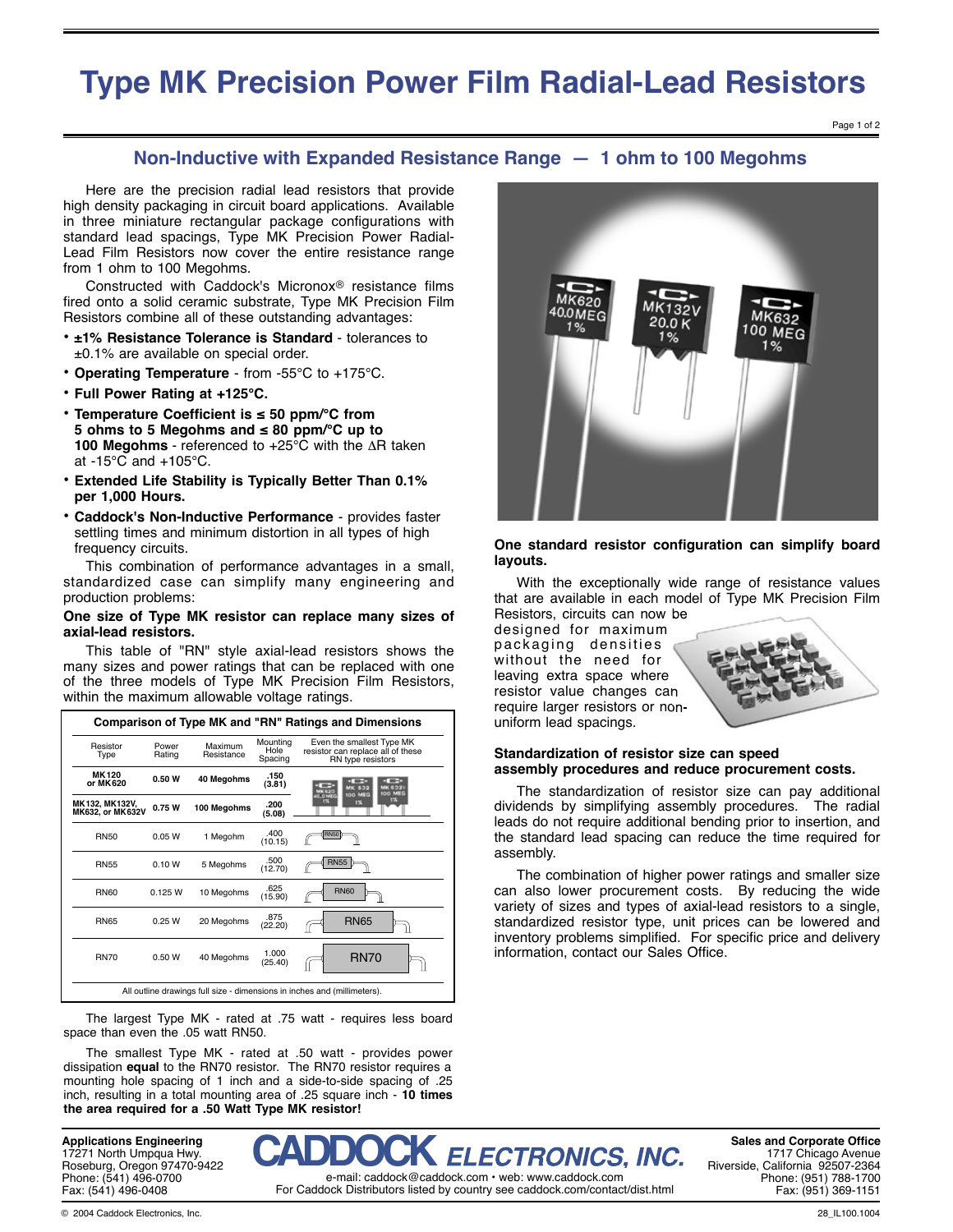# **Type MK Precision Power Film Radial-Lead Resistors**

## **Non-Inductive with Expanded Resistance Range — 1 ohm to 100 Megohms**

 Here are the precision radial lead resistors that provide high density packaging in circuit board applications. Available in three miniature rectangular package configurations with standard lead spacings, Type MK Precision Power Radial-Lead Film Resistors now cover the entire resistance range from 1 ohm to 100 Megohms.

Constructed with Caddock's Micronox<sup>®</sup> resistance films fired onto a solid ceramic substrate, Type MK Precision Film Resistors combine all of these outstanding advantages:

- **• ±1% Resistance Tolerance is Standard** tolerances to ±0.1% are available on special order.
- **• Operating Temperature** from -55°C to +175°C.
- **• Full Power Rating at +125°C.**
- **• Temperature Coefficient is ≤ 50 ppm/°C from 5 ohms to 5 Megohms and ≤ 80 ppm/°C up to 100 Megohms** - referenced to +25°C with the ΔR taken at -15°C and +105°C.
- **• Extended Life Stability is Typically Better Than 0.1% per 1,000 Hours.**
- **• Caddock's Non-Inductive Performance** provides faster settling times and minimum distortion in all types of high frequency circuits.

 This combination of performance advantages in a small, standardized case can simplify many engineering and production problems:

#### **One size of Type MK resistor can replace many sizes of axial-lead resistors.**

 This table of "RN" style axial-lead resistors shows the many sizes and power ratings that can be replaced with one of the three models of Type MK Precision Film Resistors, within the maximum allowable voltage ratings.

| Comparison of Type MK and "RN" Ratings and Dimensions                    |                 |             |                             |                                                                                     |  |  |  |  |  |
|--------------------------------------------------------------------------|-----------------|-------------|-----------------------------|-------------------------------------------------------------------------------------|--|--|--|--|--|
| Resistor<br>Type                                                         | Power<br>Rating |             | Mountina<br>Hole<br>Spacing | Even the smallest Type MK<br>resistor can replace all of these<br>RN type resistors |  |  |  |  |  |
| MK 120<br>or MK620                                                       | 0.50W           | 40 Megohms  | .150<br>(3.81)              | <b>MK 6321</b><br>632<br><b>IGO MEG</b><br>100 MEG                                  |  |  |  |  |  |
| MK132, MK132V,<br>MK632, or MK632V                                       | 0.75W           | 100 Megohms | .200<br>(5.08)              | 0.0M<br>1%<br>1%                                                                    |  |  |  |  |  |
| <b>RN50</b>                                                              | 0.05 W          | 1 Megohm    | .400<br>(10.15)             | <b>RN50</b>                                                                         |  |  |  |  |  |
| <b>RN55</b>                                                              | 0.10 W          | 5 Megohms   | .500<br>(12.70)             | <b>RN55</b>                                                                         |  |  |  |  |  |
| <b>RN60</b>                                                              | 0.125 W         | 10 Megohms  | .625<br>(15.90)             | <b>RN60</b>                                                                         |  |  |  |  |  |
| <b>RN65</b>                                                              | 0.25 W          | 20 Megohms  | .875<br>(22.20)             | <b>RN65</b>                                                                         |  |  |  |  |  |
| <b>RN70</b>                                                              | 0.50W           | 40 Megohms  | 1.000<br>(25.40)            | <b>RN70</b>                                                                         |  |  |  |  |  |
| All outline drawings full size - dimensions in inches and (millimeters). |                 |             |                             |                                                                                     |  |  |  |  |  |

 The largest Type MK - rated at .75 watt - requires less board space than even the .05 watt RN50.

 The smallest Type MK - rated at .50 watt - provides power dissipation **equal** to the RN70 resistor. The RN70 resistor requires a mounting hole spacing of 1 inch and a side-to-side spacing of .25 inch, resulting in a total mounting area of .25 square inch - **10 times the area required for a .50 Watt Type MK resistor!**



### One standard resistor configuration can simplify board **layouts.**

 With the exceptionally wide range of resistance values that are available in each model of Type MK Precision Film Resistors, circuits can now be

designed for maximum packaging densities without the need for leaving extra space where resistor value changes can require larger resistors or nonuniform lead spacings.



### **Standardization of resistor size can speed assembly procedures and reduce procurement costs.**

 The standardization of resistor size can pay additional dividends by simplifying assembly procedures. The radial leads do not require additional bending prior to insertion, and the standard lead spacing can reduce the time required for assembly.

 The combination of higher power ratings and smaller size can also lower procurement costs. By reducing the wide variety of sizes and types of axial-lead resistors to a single, standardized resistor type, unit prices can be lowered and inventory problems simplified. For specific price and delivery information, contact our Sales Office.



**Sales and Corporate Office** 1717 Chicago Avenue Riverside, California 92507-2364 Phone: (951) 788-1700 Fax: (951) 369-1151

**Applications Engineering** 17271 North Umpqua Hwy. Roseburg, Oregon 97470-9422 Phone: (541) 496-0700 Fax: (541) 496-0408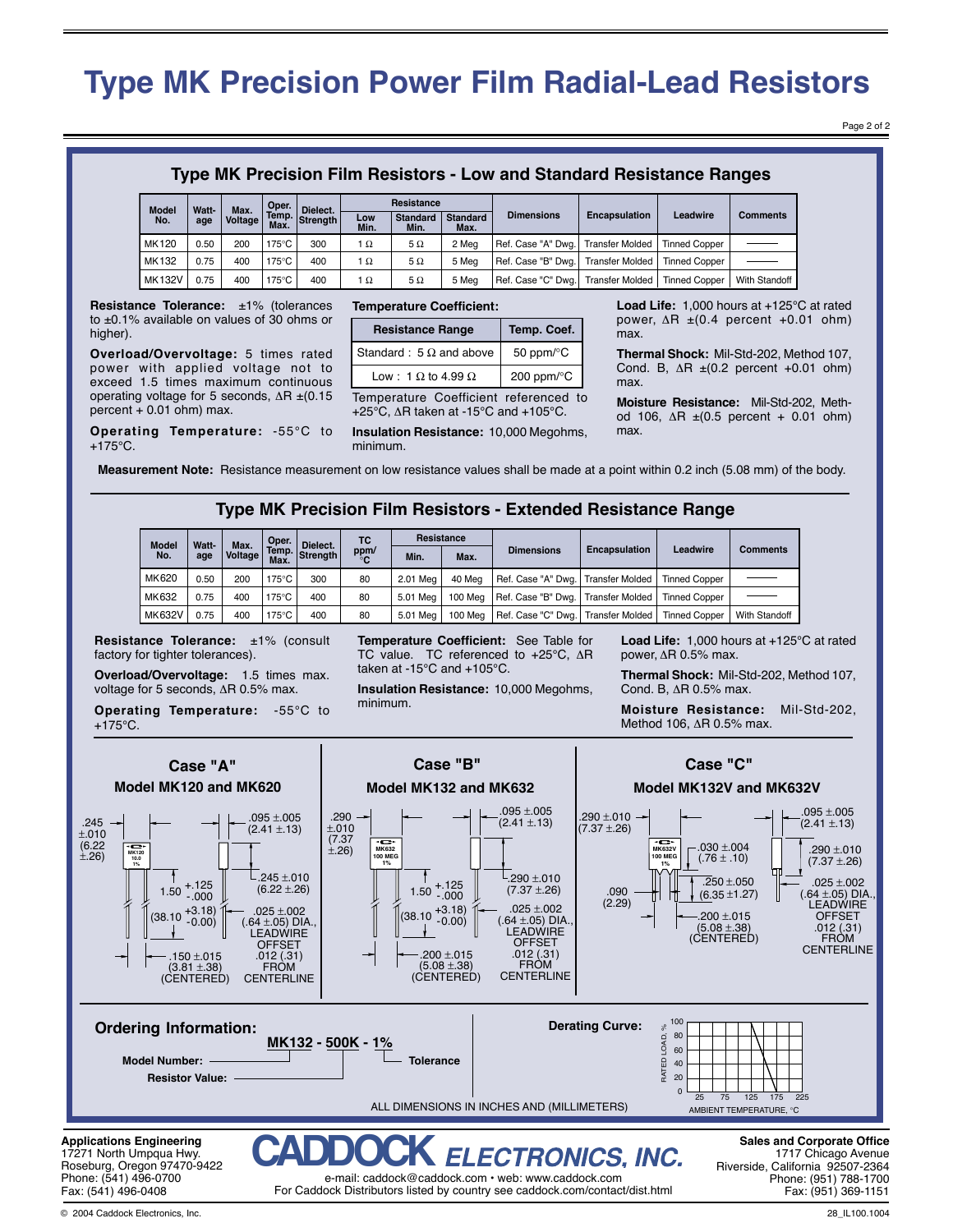# **Type MK Precision Power Film Radial-Lead Resistors**

Page 2 of 2

### **Type MK Precision Film Resistors - Low and Standard Resistance Ranges**

| <b>Model</b>  | Watt- | Max.    | Oper. | Dielect.       | Resistance  |                         |                         |                                                    |                      |                      |                 |
|---------------|-------|---------|-------|----------------|-------------|-------------------------|-------------------------|----------------------------------------------------|----------------------|----------------------|-----------------|
| No.           | age   | Voltage | Max.  | Temp. Strength | Low<br>Min. | <b>Standard</b><br>Min. | <b>Standard</b><br>Max. | <b>Dimensions</b>                                  | <b>Encapsulation</b> | Leadwire             | <b>Comments</b> |
| MK120         | 0.50  | 200     | 175°C | 300            | 1 $\Omega$  | 5Ω                      | 2 Mea                   | Ref. Case "A" Dwg. Transfer Molded                 |                      | <b>Tinned Copper</b> |                 |
| MK132         | 0.75  | 400     | 175°C | 400            | 1Ω          | 5Ω                      | 5 Mea                   | Ref. Case "B" Dwg. Transfer Molded   Tinned Copper |                      |                      |                 |
| <b>MK132V</b> | 0.75  | 400     | 175°C | 400            | 1Ω          | 5Ω                      | 5 Mea                   | Ref. Case "C" Dwg. Transfer Molded   Tinned Copper |                      |                      | With Standoff   |

**Resistance Tolerance:** ±1% (tolerances to ±0.1% available on values of 30 ohms or higher).

**Overload/Overvoltage:** 5 times rated power with applied voltage not to exceed 1.5 times maximum continuous operating voltage for 5 seconds, ΔR ±(0.15  $percent + 0.01$  ohm) max.

**Operating Temperature:** -55°C to  $+175^{\circ}$ C.

#### **Temperature Coefficient:**

| <b>Resistance Range</b>          | Temp. Coef.                  |  |  |
|----------------------------------|------------------------------|--|--|
| Standard : 5 $\Omega$ and above  | 50 ppm/ $\mathrm{^{\circ}C}$ |  |  |
| Low: 1 $\Omega$ to 4.99 $\Omega$ | 200 ppm/°C                   |  |  |
|                                  |                              |  |  |

Temperature Coefficient referenced to +25°C, ΔR taken at -15°C and +105°C.

**Insulation Resistance:** 10,000 Megohms, minimum.

**Load Life:** 1,000 hours at +125°C at rated power,  $ΔR ± (0.4$  percent  $+0.01$  ohm) max.

**Thermal Shock:** Mil-Std-202, Method 107, Cond. B,  $\Delta$ R  $\pm$ (0.2 percent +0.01 ohm) max.

**Moisture Resistance:** Mil-Std-202, Method 106,  $ΔR ± (0.5 percent + 0.01 ohm)$ max.

**Measurement Note:** Resistance measurement on low resistance values shall be made at a point within 0.2 inch (5.08 mm) of the body.

### **Type MK Precision Film Resistors - Extended Resistance Range**

| <b>Model</b><br>Watt-<br>No.<br>age |                | Max.       | Oper.             | Dielect.   | TC.  | Resistance |         | <b>Dimensions</b>                    | <b>Encapsulation</b> | Leadwire             | Comments      |
|-------------------------------------|----------------|------------|-------------------|------------|------|------------|---------|--------------------------------------|----------------------|----------------------|---------------|
|                                     | <b>Voltage</b> | <b>Max</b> | Temp. Strength    | ppm/<br>°C | Min. | Max.       |         |                                      |                      |                      |               |
| MK620                               | 0.50           | 200        | $175^{\circ}$ C   | 300        | 80   | 2.01 Mea   | 40 Mea  | Ref. Case "A" Dwg.   Transfer Molded |                      | <b>Tinned Copper</b> |               |
| MK632                               | 0.75           | 400        | $175^{\circ}$ C i | 400        | 80   | 5.01 Mea   | 100 Mea | Ref. Case "B" Dwg.   Transfer Molded |                      | <b>Tinned Copper</b> |               |
| <b>MK632V</b>                       | 0.75           | 400        | $175^{\circ}$ C i | 400        | 80   | 5.01 Mea   | 100 Mea | Ref. Case "C" Dwg.   Transfer Molded |                      | <b>Tinned Copper</b> | With Standoff |

**Resistance Tolerance:** ±1% (consult factory for tighter tolerances).

**Overload/Overvoltage:** 1.5 times max. voltage for 5 seconds, ΔR 0.5% max.

**Operating Temperature:** -55°C to  $+175^{\circ}$ C.

**Temperature Coefficient:** See Table for TC value. TC referenced to +25°C, ΔR taken at -15°C and +105°C.

**Insulation Resistance:** 10,000 Megohms, minimum.

**Load Life:** 1,000 hours at +125°C at rated power, ΔR 0.5% max.

**Thermal Shock:** Mil-Std-202, Method 107, Cond. B, ΔR 0.5% max.

**Moisture Resistance:** Mil-Std-202, Method 106, ΔR 0.5% max.



© 2004 Caddock Electronics, Inc.

Fax: (541) 496-0408

28\_IL100.1004

For Caddock Distributors listed by country see caddock.com/contact/dist.html